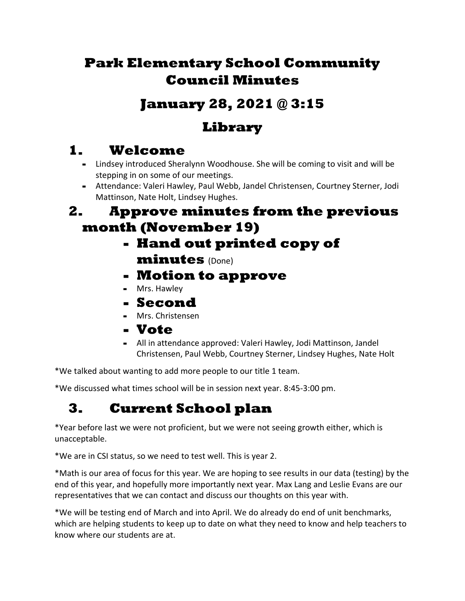## **Park Elementary School Community Council Minutes**

### **January 28, 2021 @ 3:15**

## **Library**

## **1. Welcome**

- **-** Lindsey introduced Sheralynn Woodhouse. She will be coming to visit and will be stepping in on some of our meetings.
- **-** Attendance: Valeri Hawley, Paul Webb, Jandel Christensen, Courtney Sterner, Jodi Mattinson, Nate Holt, Lindsey Hughes.

#### **2. Approve minutes from the previous month (November 19)**

- **- Hand out printed copy of minutes** (Done)
- **- Motion to approve**
- **-** Mrs. Hawley
- **- Second**
- **-** Mrs. Christensen
- **- Vote**
- **-** All in attendance approved: Valeri Hawley, Jodi Mattinson, Jandel Christensen, Paul Webb, Courtney Sterner, Lindsey Hughes, Nate Holt

\*We talked about wanting to add more people to our title 1 team.

\*We discussed what times school will be in session next year. 8:45-3:00 pm.

# **3. Current School plan**

\*Year before last we were not proficient, but we were not seeing growth either, which is unacceptable.

\*We are in CSI status, so we need to test well. This is year 2.

\*Math is our area of focus for this year. We are hoping to see results in our data (testing) by the end of this year, and hopefully more importantly next year. Max Lang and Leslie Evans are our representatives that we can contact and discuss our thoughts on this year with.

\*We will be testing end of March and into April. We do already do end of unit benchmarks, which are helping students to keep up to date on what they need to know and help teachers to know where our students are at.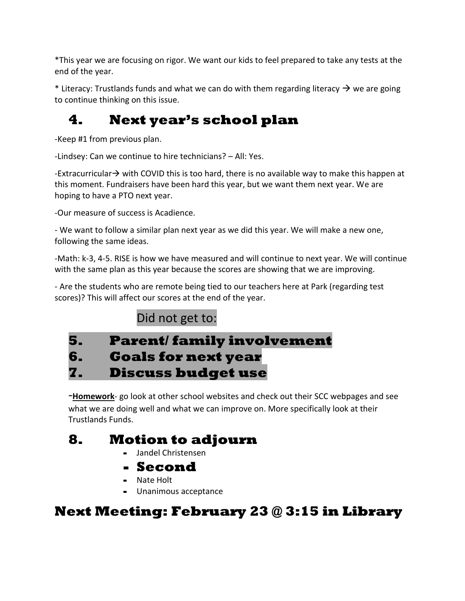\*This year we are focusing on rigor. We want our kids to feel prepared to take any tests at the end of the year.

\* Literacy: Trustlands funds and what we can do with them regarding literacy  $\rightarrow$  we are going to continue thinking on this issue.

## **4. Next year's school plan**

-Keep #1 from previous plan.

-Lindsey: Can we continue to hire technicians? – All: Yes.

-Extracurricular→ with COVID this is too hard, there is no available way to make this happen at this moment. Fundraisers have been hard this year, but we want them next year. We are hoping to have a PTO next year.

-Our measure of success is Acadience.

- We want to follow a similar plan next year as we did this year. We will make a new one, following the same ideas.

-Math: k-3, 4-5. RISE is how we have measured and will continue to next year. We will continue with the same plan as this year because the scores are showing that we are improving.

- Are the students who are remote being tied to our teachers here at Park (regarding test scores)? This will affect our scores at the end of the year.

#### Did not get to:

### **5. Parent/ family involvement 6. Goals for next year 7. Discuss budget use**

-**Homework**- go look at other school websites and check out their SCC webpages and see what we are doing well and what we can improve on. More specifically look at their Trustlands Funds.

## **8. Motion to adjourn**

- **-** Jandel Christensen
- **- Second**
- **-** Nate Holt
- **-** Unanimous acceptance

## **Next Meeting: February 23 @ 3:15 in Library**